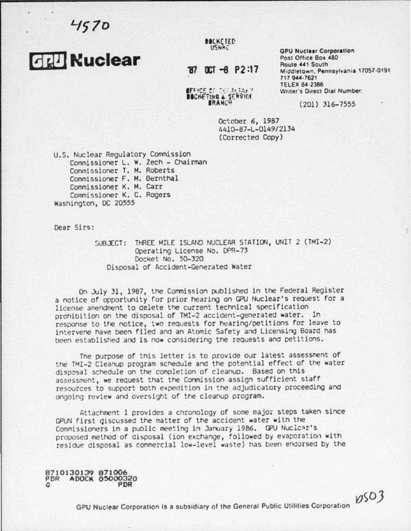$4570$ 



**BOCKETED** 

**BEFICE OF TYTRINGY** BOCKETING & SERVICE **GPU Nuclear Corporation**<br>Post Office Box 480 Middletown, Pennsylvania 17057-0191 717 944·7621 TELEX 84·2386 Writer's Direct Dial Number.

 $0503$ 

(201) 316-7555

October 6, 1987 4410-87-L-0149/2134 (Corrected Copy)

U.S. Nuclear Regulatory Commission Commissioner L. w. Zech - Chairman Cormissioner T. M. Roberts Commissioner F. M. Bernthal Commissioner K. M. Carr Commissioner K. c. Rogers Washington, DC 20555

Dear Sirs:

SUBJECT: THREE MILE ISLAND NUCLEAR STATION, UNIT 2 (TMI-2) Operating License No. OPR-73 Docket No. 50-320 Disposal of Accident-Generated Water

On July 31, 1987, the Commission published in the Federal Register a notice of opportunity for prior hearing on GPU Nuclear's request for a license amendment to delete the current technical specification prohibition on the disposal or TMI-2 accioent-generated water. In response to the notice, two requests for hearing/petitions for leave to intervene have been filed and an Atomic Safety and Licensing Board nas been established and is now considering the requests and petitions.

The purpose of this letter is to provide our latest assessment of the TMI-2 Cleanup program schedule and the potential effect of the water disposal schedule on the completion of cleanup. Based on this assessment, we request that the Commission assign sufficient staff resources to support both expedition in the adjudicatory proceeding and ongoing review and oversight or tne cleanup program.

Attachment 1 provides a cnronology of some major steps taken since GPUN first giscussed the matter of the accident water with the Commissioners in a public meeting in January 1986. GPU Nuclear's proposed method of disposal (ion exchange, followed by evaporation with residue disposal as commercial low-level waste) has been endorsed by the

8710130139 871006 PDR ADOCK 05000320<br>O PDR

GPU Nuclear Corporation Is a subsidiary of the General Public Utilities Corporation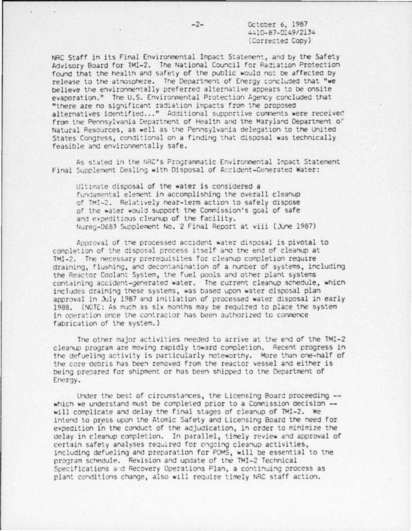October 6, 1987 4410-87-0149/2134 (Corrected Copy)

NRC Staff in its Final Environmental Impact Statement, and by the Safety Advisory Board for TMI-2. The National Council for Radiation Protection found that the health and safety of the public would not be affected by release to the atmosphere. The Department of Energy concluded that "we believe the environmentally preferred alternative appears to be onsite evaporation." The U.S. Environmental Protection Agency concluded that "there are no significant radiation impacts from the proposed alternatives identified..." Additional supportive comments were received from the Pennsylvania Department of Health and the Maryland Department of Natural Resources, as well as the Pennsylvania delegation to the United States Congress, conditional on a finding that disposal was technically feasible and environmentally safe.

As stated in the NRC's Programmatic Environmental Impact Statement Final Supplement Dealing with Disposal of Accident-Generated Water:

Ultimate disposal of the water is considered a fundamental element in accomplishing the overall cleanup of TMI-2. Relatively near-term action to safely dispose of the water would support the Commission's goal of safe and expeditious cleanup of the facility. Nureg-0683 Supplement No. 2 Final Report at viii (June 1987)

Approval of the processed accident water disposal is pivotal to completion of the disposal process itself and the end of cleanup at TMI-2. The necessary prerequisites for cleanup completion require draining, flushing, and decontamination of a number of systems, including the Reactor Coolant System, the fuel pools and other plant systems containing accident-generated water. The current cleanup schedule, which includes draining these systems, was based upon water disposal plan approval in July 1987 and initiation of processed water disposal in early 1988. (NOTE: As much as six months may be required to place the system in operation once the contractor has been authorized to commence fabrication of the system.)

The other major activities needed to arrive at the end of the TMI-2 cleanup program are moving rapidly toward completion. Recent progress in the defueling activity is particularly noteworthy. More than one-half of the core debris has been removed from the reactor vessel and either is being prepared for shipment or has been shipped to the Department of Energy.

Under the best of circumstances, the Licensing Board proceeding -which we understand must be completed prior to a Commission decision -will complicate and delay the final stages of cleanup of TMI-2. We intend to press upon the Atomic Safety and Licensing Board the need for expedition in the conduct of the adjudication, in order to minimize the delay in cleanup completion. In parallel, timely review and approval of certain safety analyses required for ongoing cleanup activities, including defueling and preparation for PDMS, will be essential to the program schedule. Revision and update of the TMI-2 Technical Specifications and Recovery Operations Plan, a continuing process as plant conditions change, also will require timely NRC staff action.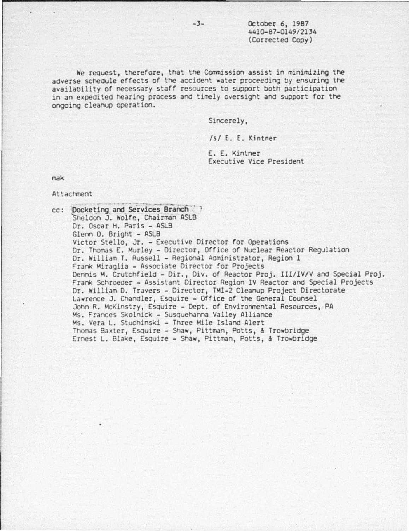October 6, 1987 4410-87-0149/2134 (Corrected Copy)

We request, therefore, that the Commission assist in minimizing the adverse schedule effects of the accident water proceeding by ensuring the availability of necessary staff resources to support both participation in an expedited hearing process and timely oversight and support for the ongoing cleanup operation.

Sincerely,

/s/ E. E. Kintner

E. E. Kintner Executive Vice President

mak

Attachment

cc: Docketing and Services Branch Sheldon J. Wolfe, Chairman ASLB Dr. Oscar H. Paris - ASLB Glenn O. Bright - ASLB Victor Stello, Jr. - Executive Director for Operations Dr. Thomas E. Murley - Director, Office of Nuclear Reactor Regulation Dr. William T. Russell - Regional Administrator, Region 1 Frank Miraglia - Associate Director for Projects Dennis M. Crutchfield - Dir., Div. of Reactor Proj. III/IV/V and Special Proj. Frank Schroeder - Assistant Director Region IV Reactor and Special Projects Dr. William D. Travers - Director, TMI-2 Cleanup Project Directorate Lawrence J. Chandler, Esquire - Office of the General Counsel John R. McKinstry, Esquire - Dept. of Environmental Resources, PA Ms. Frances Skolnick - Susquehanna Valley Alliance Ms. Vera L. Stuchinski - Three Mile Island Alert Thomas Baxter, Esquire - Shaw, Pittman, Potts, & Trowbridge Ernest L. Blake, Esquire - Shaw, Pittman, Potts, & Trowbridge